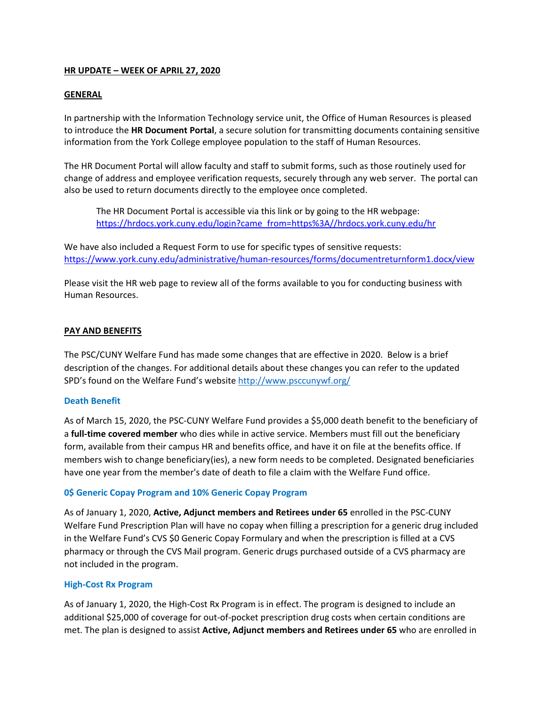# **HR UPDATE – WEEK OF APRIL 27, 2020**

### **GENERAL**

In partnership with the Information Technology service unit, the Office of Human Resources is pleased to introduce the **HR Document Portal**, a secure solution for transmitting documents containing sensitive information from the York College employee population to the staff of Human Resources.

The HR Document Portal will allow faculty and staff to submit forms, such as those routinely used for change of address and employee verification requests, securely through any web server. The portal can also be used to return documents directly to the employee once completed.

The HR Document Portal is accessible via this link or by going to the HR webpage: https://hrdocs.york.cuny.edu/login?came\_from=https%3A//hrdocs.york.cuny.edu/hr

We have also included a Request Form to use for specific types of sensitive requests: https://www.york.cuny.edu/administrative/human-resources/forms/documentreturnform1.docx/view

Please visit the HR web page to review all of the forms available to you for conducting business with Human Resources.

## **PAY AND BENEFITS**

The PSC/CUNY Welfare Fund has made some changes that are effective in 2020. Below is a brief description of the changes. For additional details about these changes you can refer to the updated SPD's found on the Welfare Fund's website http://www.psccunywf.org/

#### **Death Benefit**

As of March 15, 2020, the PSC-CUNY Welfare Fund provides a \$5,000 death benefit to the beneficiary of a **full-time covered member** who dies while in active service. Members must fill out the beneficiary form, available from their campus HR and benefits office, and have it on file at the benefits office. If members wish to change beneficiary(ies), a new form needs to be completed. Designated beneficiaries have one year from the member's date of death to file a claim with the Welfare Fund office.

## **0\$ Generic Copay Program and 10% Generic Copay Program**

As of January 1, 2020, **Active, Adjunct members and Retirees under 65** enrolled in the PSC-CUNY Welfare Fund Prescription Plan will have no copay when filling a prescription for a generic drug included in the Welfare Fund's CVS \$0 Generic Copay Formulary and when the prescription is filled at a CVS pharmacy or through the CVS Mail program. Generic drugs purchased outside of a CVS pharmacy are not included in the program.

#### **High-Cost Rx Program**

As of January 1, 2020, the High-Cost Rx Program is in effect. The program is designed to include an additional \$25,000 of coverage for out-of-pocket prescription drug costs when certain conditions are met. The plan is designed to assist **Active, Adjunct members and Retirees under 65** who are enrolled in